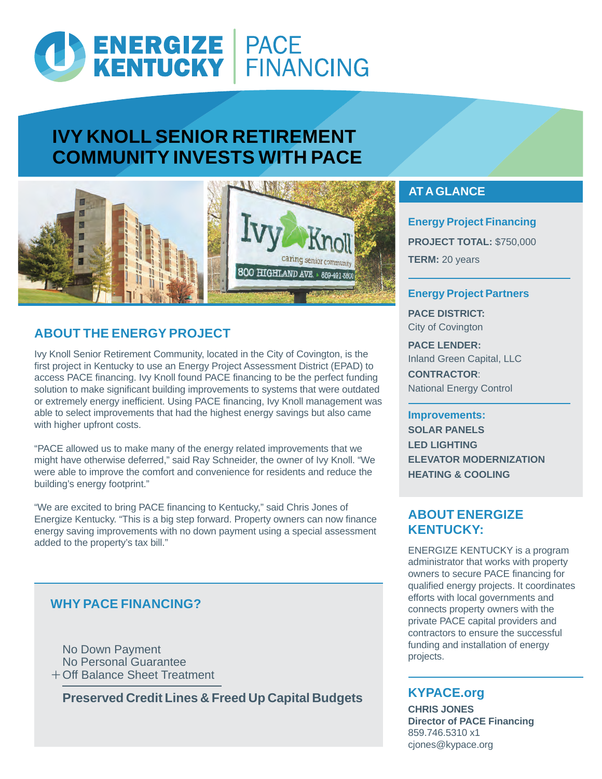# ENERGIZE PACE<br>KENTUCKY FINANCING

## **IVY KNOLL SENIOR RETIREMENT COMMUNITY INVESTS WITH PACE**



## **ABOUT THE ENERGY PROJECT**

Ivy Knoll Senior Retirement Community, located in the City of Covington, is the first project in Kentucky to use an Energy Project Assessment District (EPAD) to access PACE financing. Ivy Knoll found PACE financing to be the perfect funding solution to make significant building improvements to systems that were outdated or extremely energy inefficient. Using PACE financing, Ivy Knoll management was able to select improvements that had the highest energy savings but also came with higher upfront costs.

"PACE allowed us to make many of the energy related improvements that we might have otherwise deferred," said Ray Schneider, the owner of Ivy Knoll. "We were able to improve the comfort and convenience for residents and reduce the building's energy footprint."

"We are excited to bring PACE financing to Kentucky," said Chris Jones of Energize Kentucky. "This is a big step forward. Property owners can now finance energy saving improvements with no down payment using a special assessment added to the property's tax bill."

## **WHY PACE FINANCING?**

No Down Payment No Personal Guarantee + Off Balance Sheet Treatment

**Preserved Credit Lines & Freed Up Capital Budgets**

## **AT A GLANCE**

**Energy Project Financing PROJECT TOTAL:** \$750,000 **TERM:** 20 years

#### **Energy Project Partners**

**PACE DISTRICT:**  City of Covington

**PACE LENDER:** Inland Green Capital, LLC **CONTRACTOR**: National Energy Control

#### **Improvements:**

**SOLAR PANELS LED LIGHTING ELEVATOR MODERNIZATION HEATING & COOLING**

### **ABOUT ENERGIZE KENTUCKY:**

ENERGIZE KENTUCKY is a program administrator that works with property owners to secure PACE financing for qualified energy projects. It coordinates efforts with local governments and connects property owners with the private PACE capital providers and contractors to ensure the successful funding and installation of energy projects.

## **KYPACE.org**

**CHRIS JONES Director of PACE Financing** 859.746.5310 x1 cjones@kypace.org